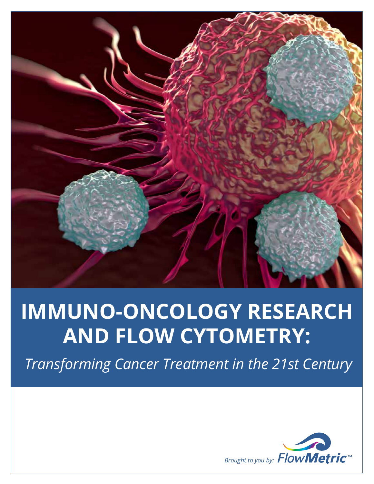

# **IMMUNO-ONCOLOGY RESEARCH AND FLOW CYTOMETRY:**

 *Transforming Cancer Treatment in the 21st Century*

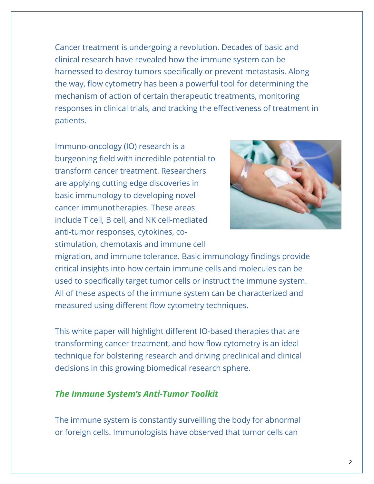Cancer treatment is undergoing a revolution. Decades of basic and clinical research have revealed how the immune system can be harnessed to destroy tumors specifically or prevent metastasis. Along the way, flow cytometry has been a powerful tool for determining the mechanism of action of certain therapeutic treatments, monitoring responses in clinical trials, and tracking the effectiveness of treatment in patients.

Immuno-oncology (IO) research is a burgeoning field with incredible potential to transform cancer treatment. Researchers are applying cutting edge discoveries in basic immunology to developing novel cancer immunotherapies. These areas include T cell, B cell, and NK cell-mediated anti-tumor responses, cytokines, costimulation, chemotaxis and immune cell



migration, and immune tolerance. Basic immunology findings provide critical insights into how certain immune cells and molecules can be used to specifically target tumor cells or instruct the immune system. All of these aspects of the immune system can be characterized and measured using different flow cytometry techniques.

This white paper will highlight different IO-based therapies that are transforming cancer treatment, and how flow cytometry is an ideal technique for bolstering research and driving preclinical and clinical decisions in this growing biomedical research sphere.

## *The Immune System's Anti-Tumor Toolkit*

The immune system is constantly surveilling the body for abnormal or foreign cells. Immunologists have observed that tumor cells can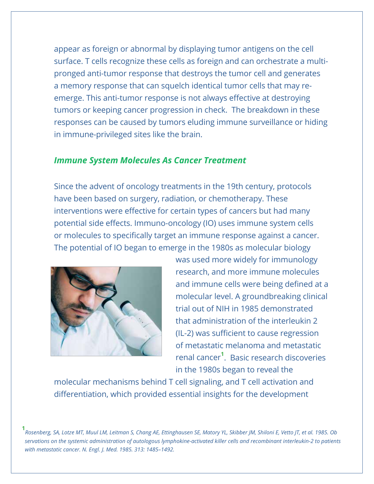appear as foreign or abnormal by displaying tumor antigens on the cell surface. T cells recognize these cells as foreign and can orchestrate a multipronged anti-tumor response that destroys the tumor cell and generates a memory response that can squelch identical tumor cells that may reemerge. This anti-tumor response is not always effective at destroying tumors or keeping cancer progression in check. The breakdown in these responses can be caused by tumors eluding immune surveillance or hiding in immune-privileged sites like the brain.

## *Immune System Molecules As Cancer Treatment*

Since the advent of oncology treatments in the 19th century, protocols have been based on surgery, radiation, or chemotherapy. These interventions were effective for certain types of cancers but had many potential side effects. Immuno-oncology (IO) uses immune system cells or molecules to specifically target an immune response against a cancer. The potential of IO began to emerge in the 1980s as molecular biology



was used more widely for immunology research, and more immune molecules and immune cells were being defined at a molecular level. A groundbreaking clinical trial out of NIH in 1985 demonstrated that administration of the interleukin 2 (IL-2) was sufficient to cause regression of metastatic melanoma and metastatic renal cancer**<sup>1</sup>** . Basic research discoveries in the 1980s began to reveal the

molecular mechanisms behind T cell signaling, and T cell activation and differentiation, which provided essential insights for the development

**1** *Rosenberg, SA, Lotze MT, Muul LM, Leitman S, Chang AE, Ettinghausen SE, Matory YL, Skibber JM, Shiloni E, Vetto JT, et al. 1985. Ob servations on the systemic administration of autologous lymphokine-activated killer cells and recombinant interleukin-2 to patients with metastatic cancer. N. Engl. J. Med. 1985. 313: 1485–1492.*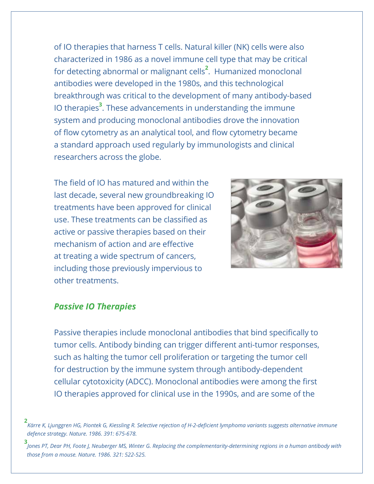of IO therapies that harness T cells. Natural killer (NK) cells were also characterized in 1986 as a novel immune cell type that may be critical for detecting abnormal or malignant cells**<sup>2</sup>** . Humanized monoclonal antibodies were developed in the 1980s, and this technological breakthrough was critical to the development of many antibody-based IO therapies**<sup>3</sup>** . These advancements in understanding the immune system and producing monoclonal antibodies drove the innovation of flow cytometry as an analytical tool, and flow cytometry became a standard approach used regularly by immunologists and clinical researchers across the globe.

The field of IO has matured and within the last decade, several new groundbreaking IO treatments have been approved for clinical use. These treatments can be classified as active or passive therapies based on their mechanism of action and are effective at treating a wide spectrum of cancers, including those previously impervious to other treatments.



## *Passive IO Therapies*

Passive therapies include monoclonal antibodies that bind specifically to tumor cells. Antibody binding can trigger different anti-tumor responses, such as halting the tumor cell proliferation or targeting the tumor cell for destruction by the immune system through antibody-dependent cellular cytotoxicity (ADCC). Monoclonal antibodies were among the first IO therapies approved for clinical use in the 1990s, and are some of the

**<sup>2</sup>** *Kärre K, Ljunggren HG, Piontek G, Kiessling R. Selective rejection of H-2-deficient lymphoma variants suggests alternative immune defence strategy. Nature. 1986. 391: 675-678.*

**<sup>3</sup>** *Jones PT, Dear PH, Foote J, Neuberger MS, Winter G. Replacing the complementarity-determining regions in a human antibody with those from a mouse. Nature. 1986. 321: 522-525.*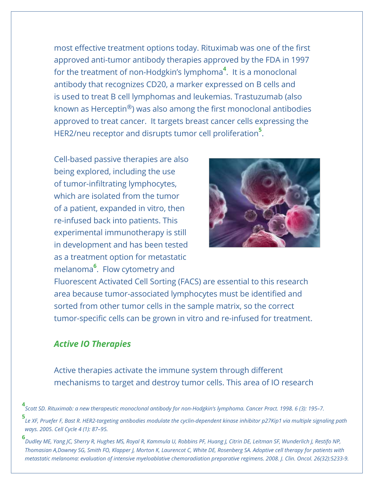most effective treatment options today. Rituximab was one of the first approved anti-tumor antibody therapies approved by the FDA in 1997 for the treatment of non-Hodgkin's lymphoma**<sup>4</sup>** . It is a monoclonal antibody that recognizes CD20, a marker expressed on B cells and is used to treat B cell lymphomas and leukemias. Trastuzumab (also known as Herceptin®) was also among the first monoclonal antibodies approved to treat cancer. It targets breast cancer cells expressing the HER2/neu receptor and disrupts tumor cell proliferation**<sup>5</sup>** .

Cell-based passive therapies are also being explored, including the use of tumor-infiltrating lymphocytes, which are isolated from the tumor of a patient, expanded in vitro, then re-infused back into patients. This experimental immunotherapy is still in development and has been tested as a treatment option for metastatic melanoma**<sup>6</sup>** . Flow cytometry and



Fluorescent Activated Cell Sorting (FACS) are essential to this research area because tumor-associated lymphocytes must be identified and sorted from other tumor cells in the sample matrix, so the correct tumor-specific cells can be grown in vitro and re-infused for treatment.

# *Active IO Therapies*

Active therapies activate the immune system through different mechanisms to target and destroy tumor cells. This area of IO research

**4** *Scott SD. Rituximab: a new therapeutic monoclonal antibody for non-Hodgkin's lymphoma. Cancer Pract. 1998. 6 (3): 195–7.*

**5** *Le XF, Pruefer F, Bast R. HER2-targeting antibodies modulate the cyclin-dependent kinase inhibitor p27Kip1 via multiple signaling path ways. 2005. Cell Cycle 4 (1): 87–95.* 

**6** *Dudley ME, Yang JC, Sherry R, Hughes MS, Royal R, Kammula U, Robbins PF, Huang J, Citrin DE, Leitman SF, Wunderlich J, Restifo NP, Thomasian A,Downey SG, Smith FO, Klapper J, Morton K, Laurencot C, White DE, Rosenberg SA. Adoptive cell therapy for patients with metastatic melanoma: evaluation of intensive myeloablative chemoradiation preparative regimens. 2008. J. Clin. Oncol. 26(32):5233-9.*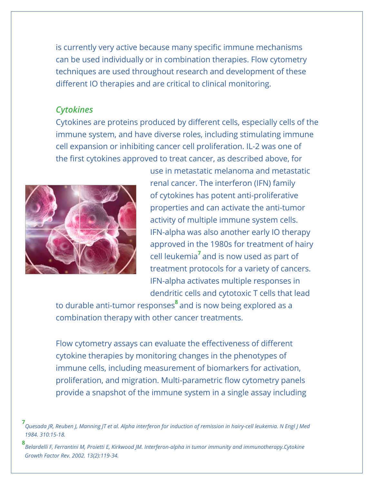is currently very active because many specific immune mechanisms can be used individually or in combination therapies. Flow cytometry techniques are used throughout research and development of these different IO therapies and are critical to clinical monitoring.

## *Cytokines*

Cytokines are proteins produced by different cells, especially cells of the immune system, and have diverse roles, including stimulating immune cell expansion or inhibiting cancer cell proliferation. IL-2 was one of the first cytokines approved to treat cancer, as described above, for



use in metastatic melanoma and metastatic renal cancer. The interferon (IFN) family of cytokines has potent anti-proliferative properties and can activate the anti-tumor activity of multiple immune system cells. IFN-alpha was also another early IO therapy approved in the 1980s for treatment of hairy cell leukemia**<sup>7</sup>**and is now used as part of treatment protocols for a variety of cancers. IFN-alpha activates multiple responses in dendritic cells and cytotoxic T cells that lead

to durable anti-tumor responses**<sup>8</sup>**and is now being explored as a combination therapy with other cancer treatments.

Flow cytometry assays can evaluate the effectiveness of different cytokine therapies by monitoring changes in the phenotypes of immune cells, including measurement of biomarkers for activation, proliferation, and migration. Multi-parametric flow cytometry panels provide a snapshot of the immune system in a single assay including

**<sup>7</sup>** *Quesada JR, Reuben J, Manning JT et al. Alpha interferon for induction of remission in hairy-cell leukemia. N Engl J Med 1984. 310:15-18.*

**<sup>8</sup>** *Belardelli F, Ferrantini M, Proietti E, Kirkwood JM. Interferon-alpha in tumor immunity and immunotherapy.Cytokine Growth Factor Rev. 2002. 13(2):119-34.*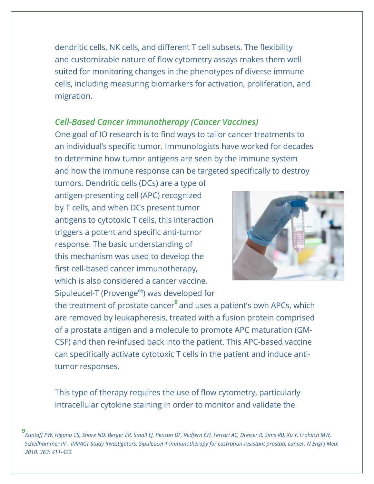dendritic cells, NK cells, and different T cell subsets. The flexibility and customizable nature of flow cytometry assays makes them well suited for monitoring changes in the phenotypes of diverse immune cells, including measuring biomarkers for activation, proliferation, and migration.

## *Cell-Based Cancer Immunotherapy (Cancer Vaccines)*

One goal of IO research is to find ways to tailor cancer treatments to an individual's specific tumor. Immunologists have worked for decades to determine how tumor antigens are seen by the immune system and how the immune response can be targeted specifically to destroy

tumors. Dendritic cells (DCs) are a type of antigen-presenting cell (APC) recognized by T cells, and when DCs present tumor antigens to cytotoxic T cells, this interaction triggers a potent and specific anti-tumor response. The basic understanding of this mechanism was used to develop the first cell-based cancer immunotherapy, which is also considered a cancer vaccine. Sipuleucel-T (Provenge®) was developed for



the treatment of prostate cancer**<sup>9</sup>**and uses a patient's own APCs, which are removed by leukapheresis, treated with a fusion protein comprised of a prostate antigen and a molecule to promote APC maturation (GM-CSF) and then re-infused back into the patient. This APC-based vaccine can specifically activate cytotoxic T cells in the patient and induce antitumor responses.

This type of therapy requires the use of flow cytometry, particularly intracellular cytokine staining in order to monitor and validate the

**9** *Kantoff PW, Higano CS, Shore ND, Berger ER, Small EJ, Penson DF, Redfern CH, Ferrari AC, Dreicer R, Sims RB, Xu Y, Frohlich MW, Schellhammer PF. IMPACT Study Investigators. Sipuleucel-T immunotherapy for castration-resistant prostate cancer. N Engl J Med. 2010. 363: 411-422.*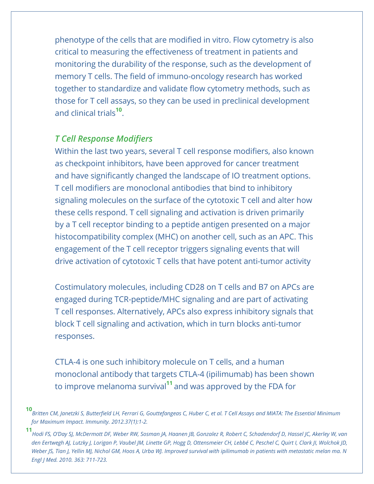phenotype of the cells that are modified in vitro. Flow cytometry is also critical to measuring the effectiveness of treatment in patients and monitoring the durability of the response, such as the development of memory T cells. The field of immuno-oncology research has worked together to standardize and validate flow cytometry methods, such as those for T cell assays, so they can be used in preclinical development and clinical trials**<sup>10</sup>**.

# *T Cell Response Modifiers*

Within the last two years, several T cell response modifiers, also known as checkpoint inhibitors, have been approved for cancer treatment and have significantly changed the landscape of IO treatment options. T cell modifiers are monoclonal antibodies that bind to inhibitory signaling molecules on the surface of the cytotoxic T cell and alter how these cells respond. T cell signaling and activation is driven primarily by a T cell receptor binding to a peptide antigen presented on a major histocompatibility complex (MHC) on another cell, such as an APC. This engagement of the T cell receptor triggers signaling events that will drive activation of cytotoxic T cells that have potent anti-tumor activity

Costimulatory molecules, including CD28 on T cells and B7 on APCs are engaged during TCR-peptide/MHC signaling and are part of activating T cell responses. Alternatively, APCs also express inhibitory signals that block T cell signaling and activation, which in turn blocks anti-tumor responses.

CTLA-4 is one such inhibitory molecule on T cells, and a human monoclonal antibody that targets CTLA-4 (ipilimumab) has been shown to improve melanoma survival**<sup>11</sup>**and was approved by the FDA for

**<sup>10</sup>***Britten CM, Janetzki S, Butterfield LH, Ferrari G, Gouttefangeas C, Huber C, et al. T Cell Assays and MIATA: The Essential Minimum for Maximum Impact. Immunity. 2012.37(1):1-2.*

**<sup>11</sup>** *Hodi FS, O'Day SJ, McDermott DF, Weber RW, Sosman JA, Haanen JB, Gonzalez R, Robert C, Schadendorf D, Hassel JC, Akerley W, van den Eertwegh AJ, Lutzky J, Lorigan P, Vaubel JM, Linette GP, Hogg D, Ottensmeier CH, Lebbé C, Peschel C, Quirt I, Clark JI, Wolchok JD, Weber JS, Tian J, Yellin MJ, Nichol GM, Hoos A, Urba WJ. Improved survival with ipilimumab in patients with metastatic melan ma. N Engl J Med. 2010. 363: 711-723.*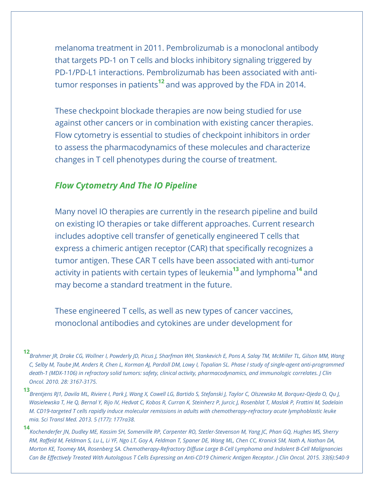melanoma treatment in 2011. Pembrolizumab is a monoclonal antibody that targets PD-1 on T cells and blocks inhibitory signaling triggered by PD-1/PD-L1 interactions. Pembrolizumab has been associated with antitumor responses in patients**<sup>12</sup>**and was approved by the FDA in 2014.

These checkpoint blockade therapies are now being studied for use against other cancers or in combination with existing cancer therapies. Flow cytometry is essential to studies of checkpoint inhibitors in order to assess the pharmacodynamics of these molecules and characterize changes in T cell phenotypes during the course of treatment.

## *Flow Cytometry And The IO Pipeline*

Many novel IO therapies are currently in the research pipeline and build on existing IO therapies or take different approaches. Current research includes adoptive cell transfer of genetically engineered T cells that express a chimeric antigen receptor (CAR) that specifically recognizes a tumor antigen. These CAR T cells have been associated with anti-tumor activity in patients with certain types of leukemia**<sup>13</sup>**and lymphoma**<sup>14</sup>**and may become a standard treatment in the future.

These engineered T cells, as well as new types of cancer vaccines, monoclonal antibodies and cytokines are under development for

**<sup>12</sup>** *Brahmer JR, Drake CG, Wollner I, Powderly JD, Picus J, Sharfman WH, Stankevich E, Pons A, Salay TM, McMiller TL, Gilson MM, Wang C, Selby M, Taube JM, Anders R, Chen L, Korman AJ, Pardoll DM, Lowy I, Topalian SL. Phase I study of single-agent anti-programmed death-1 (MDX-1106) in refractory solid tumors: safety, clinical activity, pharmacodynamics, and immunologic correlates. J Clin Oncol. 2010. 28: 3167-3175.*

**<sup>13</sup>** *Brentjens RJ1, Davila ML, Riviere I, Park J, Wang X, Cowell LG, Bartido S, Stefanski J, Taylor C, Olszewska M, Borquez-Ojeda O, Qu J, Wasielewska T, He Q, Bernal Y, Rijo IV, Hedvat C, Kobos R, Curran K, Steinherz P, Jurcic J, Rosenblat T, Maslak P, Frattini M, Sadelain M. CD19-targeted T cells rapidly induce molecular remissions in adults with chemotherapy-refractory acute lymphoblastic leuke mia. Sci Transl Med. 2013. 5 (177): 177ra38.*

**<sup>14</sup>** *Kochenderfer JN, Dudley ME, Kassim SH, Somerville RP, Carpenter RO, Stetler-Stevenson M, Yang JC, Phan GQ, Hughes MS, Sherry RM, Raffeld M, Feldman S, Lu L, Li YF, Ngo LT, Goy A, Feldman T, Spaner DE, Wang ML, Chen CC, Kranick SM, Nath A, Nathan DA, Morton KE, Toomey MA, Rosenberg SA. Chemotherapy-Refractory Diffuse Large B-Cell Lymphoma and Indolent B-Cell Malignancies Can Be Effectively Treated With Autologous T Cells Expressing an Anti-CD19 Chimeric Antigen Receptor. J Clin Oncol. 2015. 33(6):540-9*